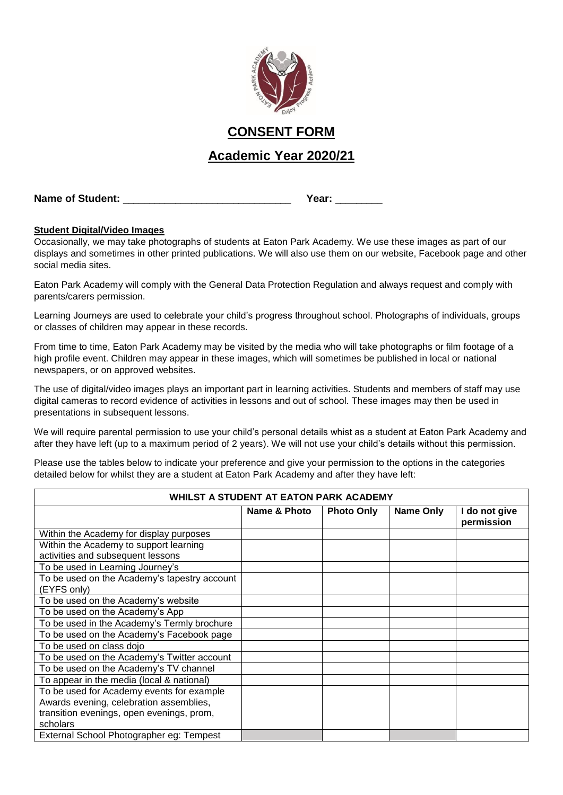

# **CONSENT FORM**

# **Academic Year 2020/21**

**Name of Student:** \_\_\_\_\_\_\_\_\_\_\_\_\_\_\_\_\_\_\_\_\_\_\_\_\_\_\_\_\_\_\_\_ **Year:** \_\_\_\_\_\_\_\_\_

## **Student Digital/Video Images**

Occasionally, we may take photographs of students at Eaton Park Academy. We use these images as part of our displays and sometimes in other printed publications. We will also use them on our website, Facebook page and other social media sites.

Eaton Park Academy will comply with the General Data Protection Regulation and always request and comply with parents/carers permission.

Learning Journeys are used to celebrate your child's progress throughout school. Photographs of individuals, groups or classes of children may appear in these records.

From time to time, Eaton Park Academy may be visited by the media who will take photographs or film footage of a high profile event. Children may appear in these images, which will sometimes be published in local or national newspapers, or on approved websites.

The use of digital/video images plays an important part in learning activities. Students and members of staff may use digital cameras to record evidence of activities in lessons and out of school. These images may then be used in presentations in subsequent lessons.

We will require parental permission to use your child's personal details whist as a student at Eaton Park Academy and after they have left (up to a maximum period of 2 years). We will not use your child's details without this permission.

Please use the tables below to indicate your preference and give your permission to the options in the categories detailed below for whilst they are a student at Eaton Park Academy and after they have left:

| WHILST A STUDENT AT EATON PARK ACADEMY       |              |                   |                  |                             |  |  |  |
|----------------------------------------------|--------------|-------------------|------------------|-----------------------------|--|--|--|
|                                              | Name & Photo | <b>Photo Only</b> | <b>Name Only</b> | I do not give<br>permission |  |  |  |
| Within the Academy for display purposes      |              |                   |                  |                             |  |  |  |
| Within the Academy to support learning       |              |                   |                  |                             |  |  |  |
| activities and subsequent lessons            |              |                   |                  |                             |  |  |  |
| To be used in Learning Journey's             |              |                   |                  |                             |  |  |  |
| To be used on the Academy's tapestry account |              |                   |                  |                             |  |  |  |
| (EYFS only)                                  |              |                   |                  |                             |  |  |  |
| To be used on the Academy's website          |              |                   |                  |                             |  |  |  |
| To be used on the Academy's App              |              |                   |                  |                             |  |  |  |
| To be used in the Academy's Termly brochure  |              |                   |                  |                             |  |  |  |
| To be used on the Academy's Facebook page    |              |                   |                  |                             |  |  |  |
| To be used on class dojo                     |              |                   |                  |                             |  |  |  |
| To be used on the Academy's Twitter account  |              |                   |                  |                             |  |  |  |
| To be used on the Academy's TV channel       |              |                   |                  |                             |  |  |  |
| To appear in the media (local & national)    |              |                   |                  |                             |  |  |  |
| To be used for Academy events for example    |              |                   |                  |                             |  |  |  |
| Awards evening, celebration assemblies,      |              |                   |                  |                             |  |  |  |
| transition evenings, open evenings, prom,    |              |                   |                  |                             |  |  |  |
| scholars                                     |              |                   |                  |                             |  |  |  |
| External School Photographer eg: Tempest     |              |                   |                  |                             |  |  |  |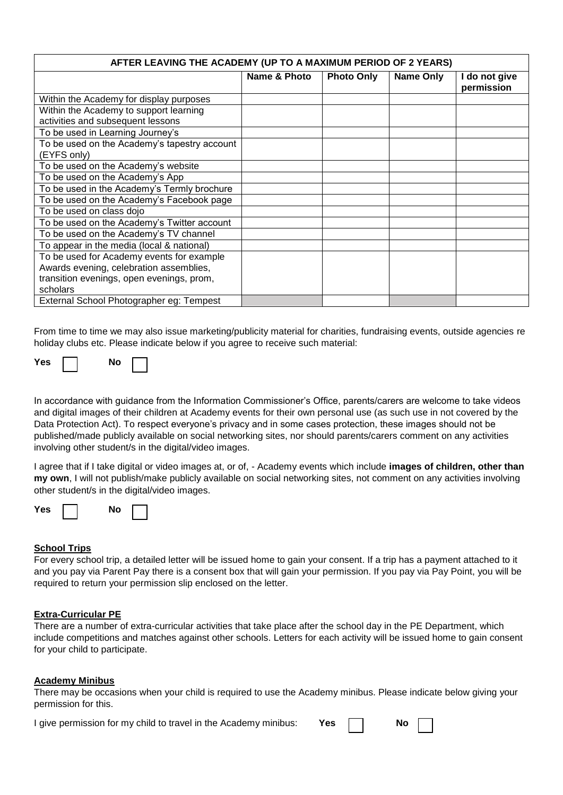| AFTER LEAVING THE ACADEMY (UP TO A MAXIMUM PERIOD OF 2 YEARS) |              |                   |           |                             |  |  |
|---------------------------------------------------------------|--------------|-------------------|-----------|-----------------------------|--|--|
|                                                               | Name & Photo | <b>Photo Only</b> | Name Only | I do not give<br>permission |  |  |
| Within the Academy for display purposes                       |              |                   |           |                             |  |  |
| Within the Academy to support learning                        |              |                   |           |                             |  |  |
| activities and subsequent lessons                             |              |                   |           |                             |  |  |
| To be used in Learning Journey's                              |              |                   |           |                             |  |  |
| To be used on the Academy's tapestry account                  |              |                   |           |                             |  |  |
| (EYFS only)                                                   |              |                   |           |                             |  |  |
| To be used on the Academy's website                           |              |                   |           |                             |  |  |
| To be used on the Academy's App                               |              |                   |           |                             |  |  |
| To be used in the Academy's Termly brochure                   |              |                   |           |                             |  |  |
| To be used on the Academy's Facebook page                     |              |                   |           |                             |  |  |
| To be used on class dojo                                      |              |                   |           |                             |  |  |
| To be used on the Academy's Twitter account                   |              |                   |           |                             |  |  |
| To be used on the Academy's TV channel                        |              |                   |           |                             |  |  |
| To appear in the media (local & national)                     |              |                   |           |                             |  |  |
| To be used for Academy events for example                     |              |                   |           |                             |  |  |
| Awards evening, celebration assemblies,                       |              |                   |           |                             |  |  |
| transition evenings, open evenings, prom,                     |              |                   |           |                             |  |  |
| scholars                                                      |              |                   |           |                             |  |  |
| External School Photographer eg: Tempest                      |              |                   |           |                             |  |  |

From time to time we may also issue marketing/publicity material for charities, fundraising events, outside agencies re holiday clubs etc. Please indicate below if you agree to receive such material:

| - - |  |  |
|-----|--|--|
|-----|--|--|

In accordance with guidance from the Information Commissioner's Office, parents/carers are welcome to take videos and digital images of their children at Academy events for their own personal use (as such use in not covered by the Data Protection Act). To respect everyone's privacy and in some cases protection, these images should not be published/made publicly available on social networking sites, nor should parents/carers comment on any activities involving other student/s in the digital/video images.

I agree that if I take digital or video images at, or of, - Academy events which include **images of children, other than my own**, I will not publish/make publicly available on social networking sites, not comment on any activities involving other student/s in the digital/video images.

| YAS<br>งก<br>w |  |
|----------------|--|
|----------------|--|

#### **School Trips**

For every school trip, a detailed letter will be issued home to gain your consent. If a trip has a payment attached to it and you pay via Parent Pay there is a consent box that will gain your permission. If you pay via Pay Point, you will be required to return your permission slip enclosed on the letter.

#### **Extra-Curricular PE**

There are a number of extra-curricular activities that take place after the school day in the PE Department, which include competitions and matches against other schools. Letters for each activity will be issued home to gain consent for your child to participate.

#### **Academy Minibus**

There may be occasions when your child is required to use the Academy minibus. Please indicate below giving your permission for this.

|  | I give permission for my child to travel in the Academy minibus: |  |  |  |  |  | Yes: |  | No |
|--|------------------------------------------------------------------|--|--|--|--|--|------|--|----|
|--|------------------------------------------------------------------|--|--|--|--|--|------|--|----|